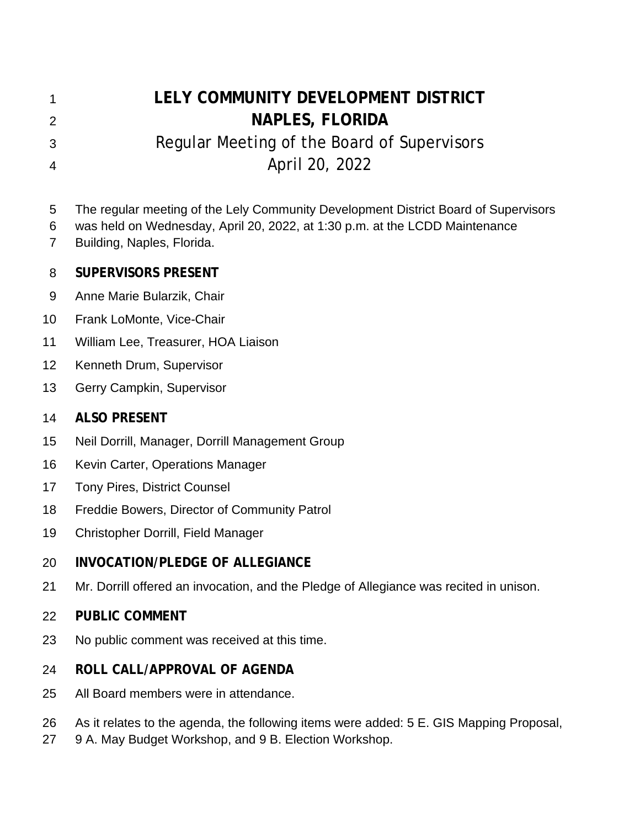| 1              | LELY COMMUNITY DEVELOPMENT DISTRICT                                                                                                                                                              |
|----------------|--------------------------------------------------------------------------------------------------------------------------------------------------------------------------------------------------|
| $\overline{2}$ | <b>NAPLES, FLORIDA</b>                                                                                                                                                                           |
| 3              | Regular Meeting of the Board of Supervisors                                                                                                                                                      |
| 4              | April 20, 2022                                                                                                                                                                                   |
| 5<br>6<br>7    | The regular meeting of the Lely Community Development District Board of Supervisors<br>was held on Wednesday, April 20, 2022, at 1:30 p.m. at the LCDD Maintenance<br>Building, Naples, Florida. |
| 8              | <b>SUPERVISORS PRESENT</b>                                                                                                                                                                       |
| 9              | Anne Marie Bularzik, Chair                                                                                                                                                                       |
| 10             | Frank LoMonte, Vice-Chair                                                                                                                                                                        |
| 11             | William Lee, Treasurer, HOA Liaison                                                                                                                                                              |
| 12             | Kenneth Drum, Supervisor                                                                                                                                                                         |
| 13             | Gerry Campkin, Supervisor                                                                                                                                                                        |
| 14             | <b>ALSO PRESENT</b>                                                                                                                                                                              |
| 15             | Neil Dorrill, Manager, Dorrill Management Group                                                                                                                                                  |
| 16             | Kevin Carter, Operations Manager                                                                                                                                                                 |
| 17             | <b>Tony Pires, District Counsel</b>                                                                                                                                                              |
| 18             | Freddie Bowers, Director of Community Patrol                                                                                                                                                     |
| 19             | Christopher Dorrill, Field Manager                                                                                                                                                               |
| 20             | <b>INVOCATION/PLEDGE OF ALLEGIANCE</b>                                                                                                                                                           |
| 21             | Mr. Dorrill offered an invocation, and the Pledge of Allegiance was recited in unison.                                                                                                           |
| 22             | <b>PUBLIC COMMENT</b>                                                                                                                                                                            |
| 23             | No public comment was received at this time.                                                                                                                                                     |
| 24             | ROLL CALL/APPROVAL OF AGENDA                                                                                                                                                                     |
| 25             | All Board members were in attendance.                                                                                                                                                            |
|                |                                                                                                                                                                                                  |

- 26 As it relates to the agenda, the following items were added: 5 E. GIS Mapping Proposal,<br>27 9 A. May Budget Workshop, and 9 B. Election Workshop.
- 9 A. May Budget Workshop, and 9 B. Election Workshop.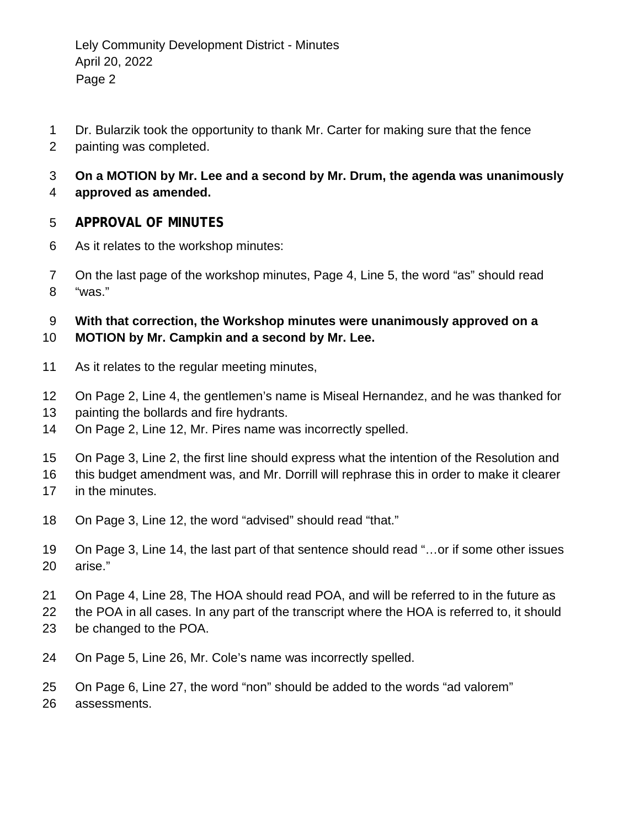- Dr. Bularzik took the opportunity to thank Mr. Carter for making sure that the fence
- painting was completed.

## **On a MOTION by Mr. Lee and a second by Mr. Drum, the agenda was unanimously**

**approved as amended.** 

### **APPROVAL OF MINUTES**

- As it relates to the workshop minutes:
- On the last page of the workshop minutes, Page 4, Line 5, the word "as" should read "was."

# **With that correction, the Workshop minutes were unanimously approved on a**

### **MOTION by Mr. Campkin and a second by Mr. Lee.**

- As it relates to the regular meeting minutes,
- On Page 2, Line 4, the gentlemen's name is Miseal Hernandez, and he was thanked for
- 13 painting the bollards and fire hydrants.
- On Page 2, Line 12, Mr. Pires name was incorrectly spelled.
- On Page 3, Line 2, the first line should express what the intention of the Resolution and
- this budget amendment was, and Mr. Dorrill will rephrase this in order to make it clearer
- in the minutes.
- On Page 3, Line 12, the word "advised" should read "that."
- On Page 3, Line 14, the last part of that sentence should read "…or if some other issues arise."
- On Page 4, Line 28, The HOA should read POA, and will be referred to in the future as
- the POA in all cases. In any part of the transcript where the HOA is referred to, it should
- be changed to the POA.
- On Page 5, Line 26, Mr. Cole's name was incorrectly spelled.
- On Page 6, Line 27, the word "non" should be added to the words "ad valorem"
- assessments.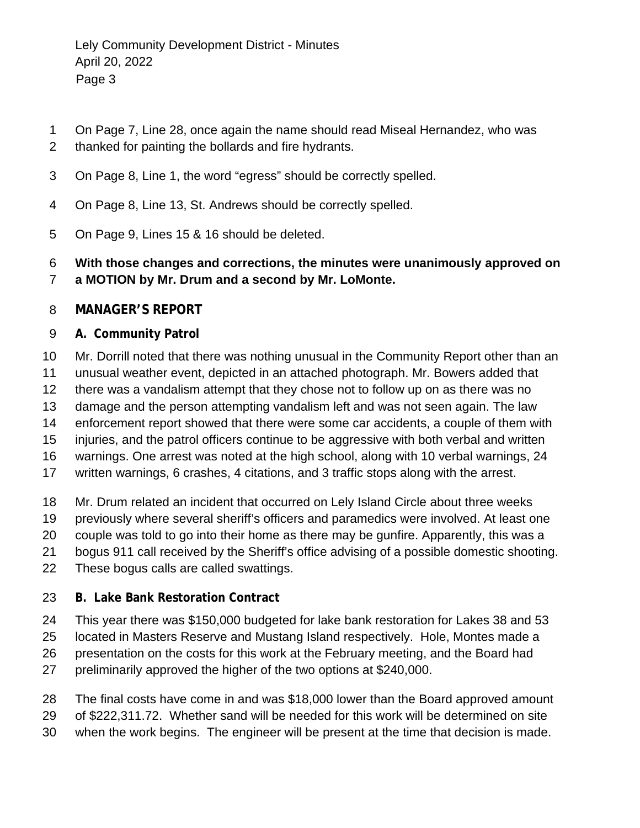- On Page 7, Line 28, once again the name should read Miseal Hernandez, who was
- thanked for painting the bollards and fire hydrants.
- On Page 8, Line 1, the word "egress" should be correctly spelled.
- On Page 8, Line 13, St. Andrews should be correctly spelled.
- On Page 9, Lines 15 & 16 should be deleted.
- **With those changes and corrections, the minutes were unanimously approved on a MOTION by Mr. Drum and a second by Mr. LoMonte.**

#### **MANAGER'S REPORT**

#### **A. Community Patrol**

- Mr. Dorrill noted that there was nothing unusual in the Community Report other than an
- unusual weather event, depicted in an attached photograph. Mr. Bowers added that
- there was a vandalism attempt that they chose not to follow up on as there was no
- damage and the person attempting vandalism left and was not seen again. The law
- enforcement report showed that there were some car accidents, a couple of them with
- injuries, and the patrol officers continue to be aggressive with both verbal and written
- warnings. One arrest was noted at the high school, along with 10 verbal warnings, 24
- written warnings, 6 crashes, 4 citations, and 3 traffic stops along with the arrest.
- Mr. Drum related an incident that occurred on Lely Island Circle about three weeks
- previously where several sheriff's officers and paramedics were involved. At least one
- couple was told to go into their home as there may be gunfire. Apparently, this was a
- bogus 911 call received by the Sheriff's office advising of a possible domestic shooting.
- These bogus calls are called swattings.

### **B. Lake Bank Restoration Contract**

- This year there was \$150,000 budgeted for lake bank restoration for Lakes 38 and 53
- located in Masters Reserve and Mustang Island respectively. Hole, Montes made a
- presentation on the costs for this work at the February meeting, and the Board had
- preliminarily approved the higher of the two options at \$240,000.
- The final costs have come in and was \$18,000 lower than the Board approved amount
- of \$222,311.72. Whether sand will be needed for this work will be determined on site
- when the work begins. The engineer will be present at the time that decision is made.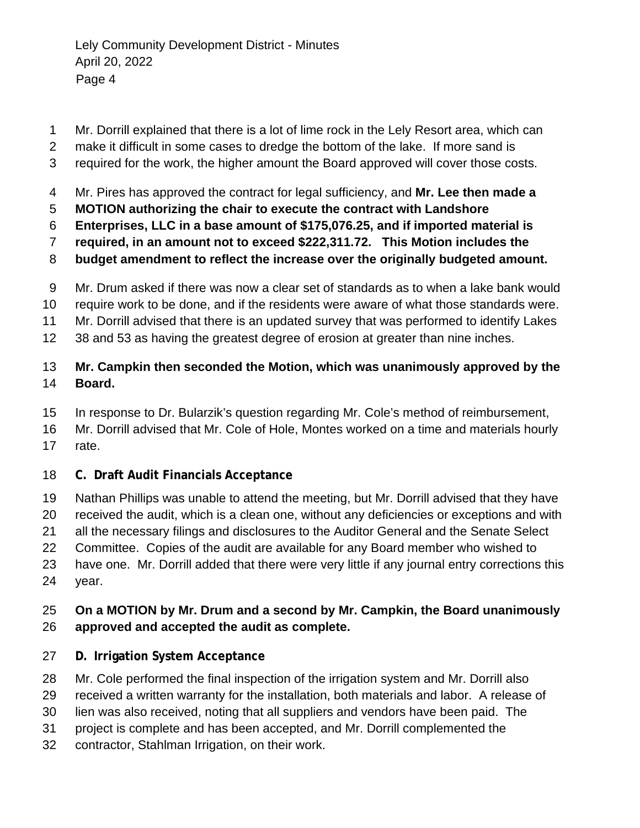- Mr. Dorrill explained that there is a lot of lime rock in the Lely Resort area, which can
- make it difficult in some cases to dredge the bottom of the lake. If more sand is
- required for the work, the higher amount the Board approved will cover those costs.
- Mr. Pires has approved the contract for legal sufficiency, and **Mr. Lee then made a**
- **MOTION authorizing the chair to execute the contract with Landshore**
- **Enterprises, LLC in a base amount of \$175,076.25, and if imported material is**
- **required, in an amount not to exceed \$222,311.72. This Motion includes the**
- **budget amendment to reflect the increase over the originally budgeted amount.**
- Mr. Drum asked if there was now a clear set of standards as to when a lake bank would
- require work to be done, and if the residents were aware of what those standards were.
- Mr. Dorrill advised that there is an updated survey that was performed to identify Lakes
- 38 and 53 as having the greatest degree of erosion at greater than nine inches.

### **Mr. Campkin then seconded the Motion, which was unanimously approved by the Board.**

- In response to Dr. Bularzik's question regarding Mr. Cole's method of reimbursement,
- Mr. Dorrill advised that Mr. Cole of Hole, Montes worked on a time and materials hourly rate.
- **C. Draft Audit Financials Acceptance**
- Nathan Phillips was unable to attend the meeting, but Mr. Dorrill advised that they have
- received the audit, which is a clean one, without any deficiencies or exceptions and with
- all the necessary filings and disclosures to the Auditor General and the Senate Select
- Committee. Copies of the audit are available for any Board member who wished to
- have one. Mr. Dorrill added that there were very little if any journal entry corrections this year.

### **On a MOTION by Mr. Drum and a second by Mr. Campkin, the Board unanimously approved and accepted the audit as complete.**

- **D. Irrigation System Acceptance**
- Mr. Cole performed the final inspection of the irrigation system and Mr. Dorrill also
- received a written warranty for the installation, both materials and labor. A release of
- lien was also received, noting that all suppliers and vendors have been paid. The
- project is complete and has been accepted, and Mr. Dorrill complemented the
- contractor, Stahlman Irrigation, on their work.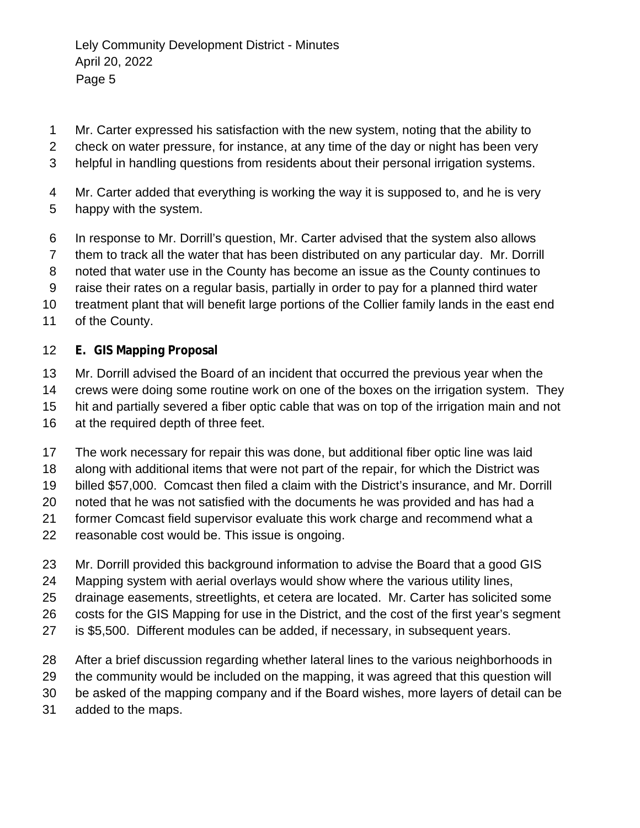- Mr. Carter expressed his satisfaction with the new system, noting that the ability to
- check on water pressure, for instance, at any time of the day or night has been very
- helpful in handling questions from residents about their personal irrigation systems.
- Mr. Carter added that everything is working the way it is supposed to, and he is very happy with the system.
- In response to Mr. Dorrill's question, Mr. Carter advised that the system also allows
- them to track all the water that has been distributed on any particular day. Mr. Dorrill
- noted that water use in the County has become an issue as the County continues to
- raise their rates on a regular basis, partially in order to pay for a planned third water
- treatment plant that will benefit large portions of the Collier family lands in the east end
- of the County.

#### **E. GIS Mapping Proposal**

- Mr. Dorrill advised the Board of an incident that occurred the previous year when the crews were doing some routine work on one of the boxes on the irrigation system. They hit and partially severed a fiber optic cable that was on top of the irrigation main and not
- at the required depth of three feet.
- The work necessary for repair this was done, but additional fiber optic line was laid
- along with additional items that were not part of the repair, for which the District was
- billed \$57,000. Comcast then filed a claim with the District's insurance, and Mr. Dorrill
- noted that he was not satisfied with the documents he was provided and has had a
- former Comcast field supervisor evaluate this work charge and recommend what a
- reasonable cost would be. This issue is ongoing.
- Mr. Dorrill provided this background information to advise the Board that a good GIS
- Mapping system with aerial overlays would show where the various utility lines,
- drainage easements, streetlights, et cetera are located. Mr. Carter has solicited some
- costs for the GIS Mapping for use in the District, and the cost of the first year's segment
- is \$5,500. Different modules can be added, if necessary, in subsequent years.
- After a brief discussion regarding whether lateral lines to the various neighborhoods in
- the community would be included on the mapping, it was agreed that this question will
- be asked of the mapping company and if the Board wishes, more layers of detail can be
- added to the maps.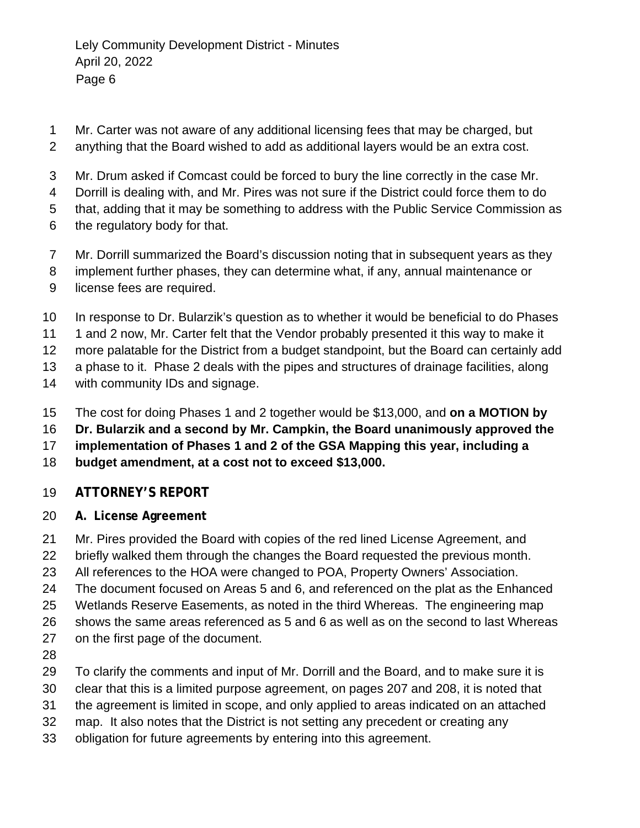- Mr. Carter was not aware of any additional licensing fees that may be charged, but
- anything that the Board wished to add as additional layers would be an extra cost.
- Mr. Drum asked if Comcast could be forced to bury the line correctly in the case Mr.
- Dorrill is dealing with, and Mr. Pires was not sure if the District could force them to do
- that, adding that it may be something to address with the Public Service Commission as
- the regulatory body for that.
- Mr. Dorrill summarized the Board's discussion noting that in subsequent years as they
- implement further phases, they can determine what, if any, annual maintenance or
- license fees are required.
- In response to Dr. Bularzik's question as to whether it would be beneficial to do Phases
- 11 1 and 2 now, Mr. Carter felt that the Vendor probably presented it this way to make it
- more palatable for the District from a budget standpoint, but the Board can certainly add
- a phase to it. Phase 2 deals with the pipes and structures of drainage facilities, along
- with community IDs and signage.
- The cost for doing Phases 1 and 2 together would be \$13,000, and **on a MOTION by**
- **Dr. Bularzik and a second by Mr. Campkin, the Board unanimously approved the**
- **implementation of Phases 1 and 2 of the GSA Mapping this year, including a**
- **budget amendment, at a cost not to exceed \$13,000.**

## **ATTORNEY'S REPORT**

- **A. License Agreement**
- Mr. Pires provided the Board with copies of the red lined License Agreement, and
- briefly walked them through the changes the Board requested the previous month.
- All references to the HOA were changed to POA, Property Owners' Association.
- The document focused on Areas 5 and 6, and referenced on the plat as the Enhanced
- Wetlands Reserve Easements, as noted in the third Whereas. The engineering map
- shows the same areas referenced as 5 and 6 as well as on the second to last Whereas
- on the first page of the document.
- 
- To clarify the comments and input of Mr. Dorrill and the Board, and to make sure it is
- clear that this is a limited purpose agreement, on pages 207 and 208, it is noted that
- the agreement is limited in scope, and only applied to areas indicated on an attached
- map. It also notes that the District is not setting any precedent or creating any
- obligation for future agreements by entering into this agreement.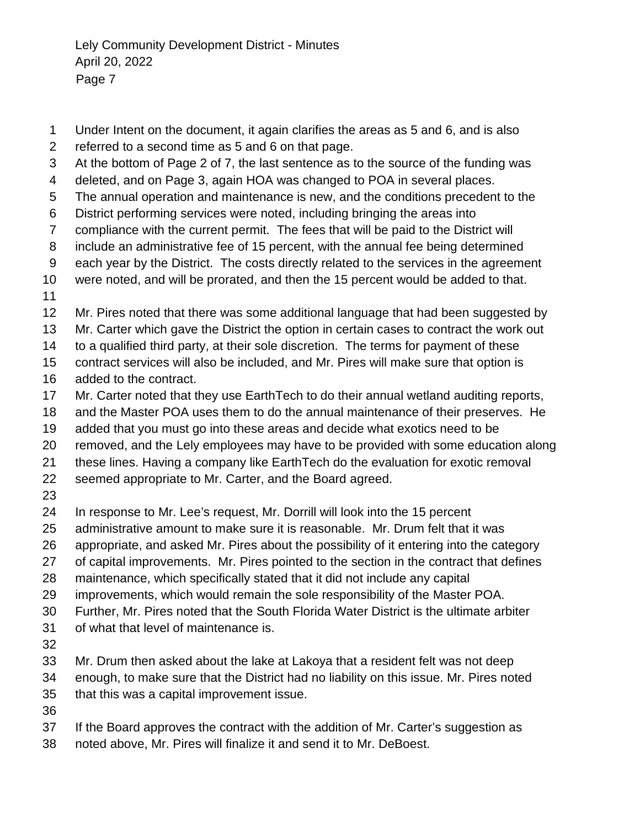Under Intent on the document, it again clarifies the areas as 5 and 6, and is also referred to a second time as 5 and 6 on that page. At the bottom of Page 2 of 7, the last sentence as to the source of the funding was deleted, and on Page 3, again HOA was changed to POA in several places. The annual operation and maintenance is new, and the conditions precedent to the District performing services were noted, including bringing the areas into compliance with the current permit. The fees that will be paid to the District will include an administrative fee of 15 percent, with the annual fee being determined each year by the District. The costs directly related to the services in the agreement were noted, and will be prorated, and then the 15 percent would be added to that. Mr. Pires noted that there was some additional language that had been suggested by Mr. Carter which gave the District the option in certain cases to contract the work out to a qualified third party, at their sole discretion. The terms for payment of these contract services will also be included, and Mr. Pires will make sure that option is added to the contract. Mr. Carter noted that they use EarthTech to do their annual wetland auditing reports, and the Master POA uses them to do the annual maintenance of their preserves. He added that you must go into these areas and decide what exotics need to be removed, and the Lely employees may have to be provided with some education along these lines. Having a company like EarthTech do the evaluation for exotic removal seemed appropriate to Mr. Carter, and the Board agreed. In response to Mr. Lee's request, Mr. Dorrill will look into the 15 percent administrative amount to make sure it is reasonable. Mr. Drum felt that it was appropriate, and asked Mr. Pires about the possibility of it entering into the category of capital improvements. Mr. Pires pointed to the section in the contract that defines maintenance, which specifically stated that it did not include any capital improvements, which would remain the sole responsibility of the Master POA. Further, Mr. Pires noted that the South Florida Water District is the ultimate arbiter of what that level of maintenance is. Mr. Drum then asked about the lake at Lakoya that a resident felt was not deep enough, to make sure that the District had no liability on this issue. Mr. Pires noted that this was a capital improvement issue.

- 
- If the Board approves the contract with the addition of Mr. Carter's suggestion as
- noted above, Mr. Pires will finalize it and send it to Mr. DeBoest.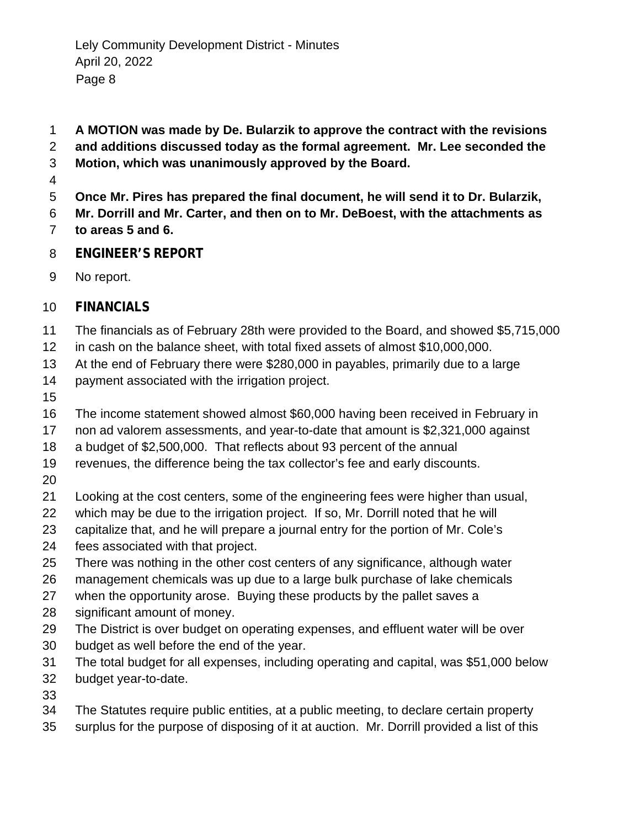- **A MOTION was made by De. Bularzik to approve the contract with the revisions**
- **and additions discussed today as the formal agreement. Mr. Lee seconded the**
- **Motion, which was unanimously approved by the Board.**
- 
- **Once Mr. Pires has prepared the final document, he will send it to Dr. Bularzik,**
- **Mr. Dorrill and Mr. Carter, and then on to Mr. DeBoest, with the attachments as**
- **to areas 5 and 6.**
- **ENGINEER'S REPORT**
- No report.
- **FINANCIALS**
- The financials as of February 28th were provided to the Board, and showed \$5,715,000
- in cash on the balance sheet, with total fixed assets of almost \$10,000,000.
- At the end of February there were \$280,000 in payables, primarily due to a large
- payment associated with the irrigation project.
- 
- The income statement showed almost \$60,000 having been received in February in
- non ad valorem assessments, and year-to-date that amount is \$2,321,000 against
- a budget of \$2,500,000. That reflects about 93 percent of the annual
- revenues, the difference being the tax collector's fee and early discounts.
- 
- Looking at the cost centers, some of the engineering fees were higher than usual,
- which may be due to the irrigation project. If so, Mr. Dorrill noted that he will
- capitalize that, and he will prepare a journal entry for the portion of Mr. Cole's
- fees associated with that project.
- There was nothing in the other cost centers of any significance, although water
- management chemicals was up due to a large bulk purchase of lake chemicals
- when the opportunity arose. Buying these products by the pallet saves a
- significant amount of money.
- The District is over budget on operating expenses, and effluent water will be over
- budget as well before the end of the year.
- The total budget for all expenses, including operating and capital, was \$51,000 below
- budget year-to-date.
- 
- The Statutes require public entities, at a public meeting, to declare certain property
- surplus for the purpose of disposing of it at auction. Mr. Dorrill provided a list of this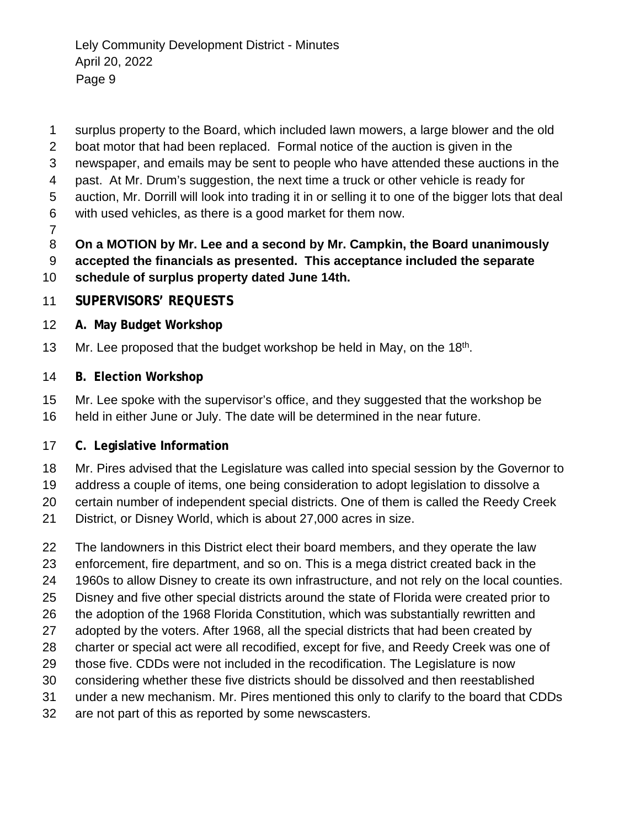surplus property to the Board, which included lawn mowers, a large blower and the old

- boat motor that had been replaced. Formal notice of the auction is given in the
- newspaper, and emails may be sent to people who have attended these auctions in the
- past. At Mr. Drum's suggestion, the next time a truck or other vehicle is ready for
- auction, Mr. Dorrill will look into trading it in or selling it to one of the bigger lots that deal
- with used vehicles, as there is a good market for them now.
- 

**On a MOTION by Mr. Lee and a second by Mr. Campkin, the Board unanimously** 

- **accepted the financials as presented. This acceptance included the separate schedule of surplus property dated June 14th.**
- **SUPERVISORS' REQUESTS**
- **A. May Budget Workshop**
- 13 Mr. Lee proposed that the budget workshop be held in May, on the  $18<sup>th</sup>$ .
- **B. Election Workshop**
- Mr. Lee spoke with the supervisor's office, and they suggested that the workshop be held in either June or July. The date will be determined in the near future.

## **C. Legislative Information**

- Mr. Pires advised that the Legislature was called into special session by the Governor to
- address a couple of items, one being consideration to adopt legislation to dissolve a
- certain number of independent special districts. One of them is called the Reedy Creek
- District, or Disney World, which is about 27,000 acres in size.
- The landowners in this District elect their board members, and they operate the law
- enforcement, fire department, and so on. This is a mega district created back in the
- 1960s to allow Disney to create its own infrastructure, and not rely on the local counties.
- Disney and five other special districts around the state of Florida were created prior to
- the adoption of the 1968 Florida Constitution, which was substantially rewritten and
- adopted by the voters. After 1968, all the special districts that had been created by
- charter or special act were all recodified, except for five, and Reedy Creek was one of those five. CDDs were not included in the recodification. The Legislature is now
- considering whether these five districts should be dissolved and then reestablished
- under a new mechanism. Mr. Pires mentioned this only to clarify to the board that CDDs
- are not part of this as reported by some newscasters.